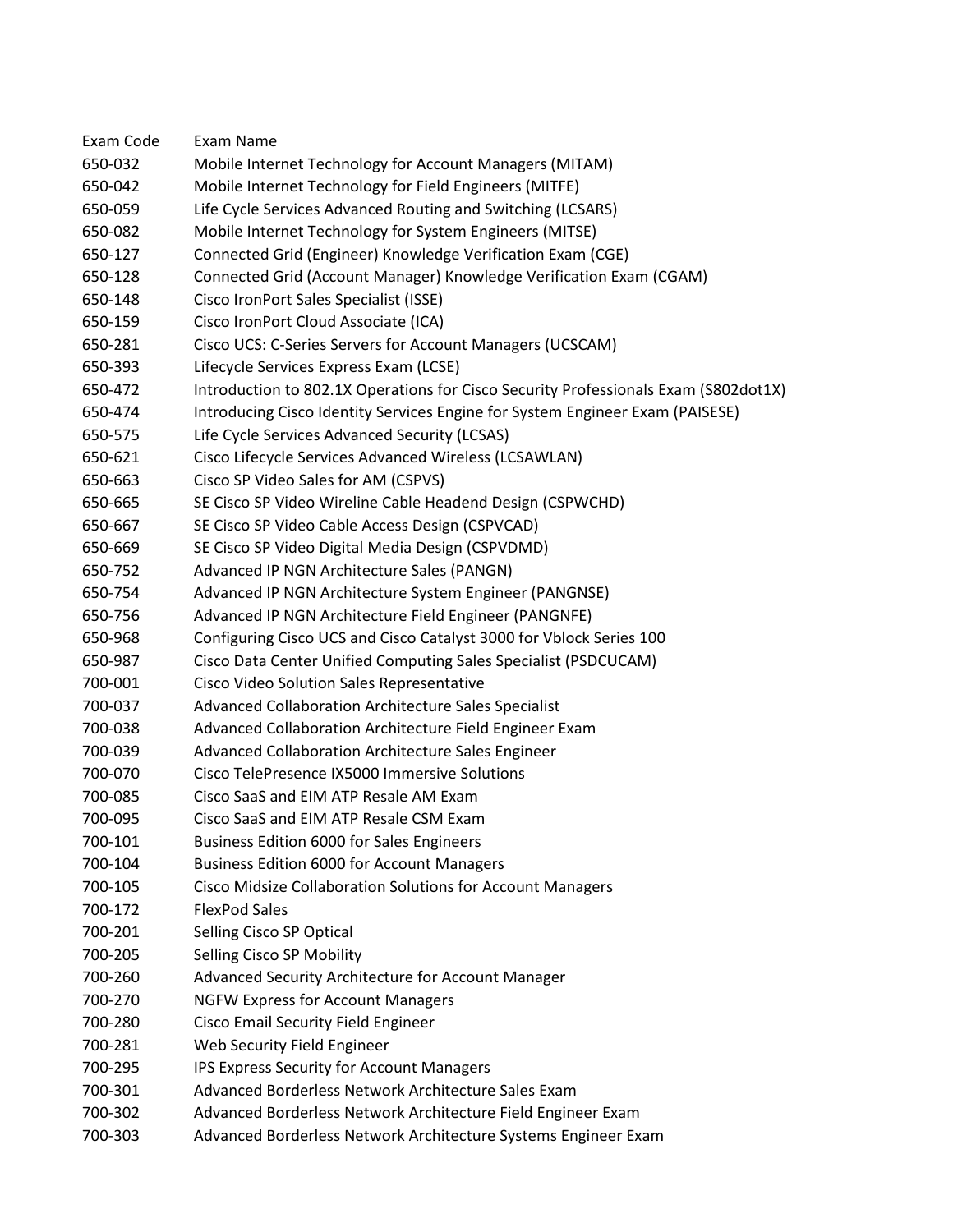| Exam Code | Exam Name                                                                           |
|-----------|-------------------------------------------------------------------------------------|
| 650-032   | Mobile Internet Technology for Account Managers (MITAM)                             |
| 650-042   | Mobile Internet Technology for Field Engineers (MITFE)                              |
| 650-059   | Life Cycle Services Advanced Routing and Switching (LCSARS)                         |
| 650-082   | Mobile Internet Technology for System Engineers (MITSE)                             |
| 650-127   | Connected Grid (Engineer) Knowledge Verification Exam (CGE)                         |
| 650-128   | Connected Grid (Account Manager) Knowledge Verification Exam (CGAM)                 |
| 650-148   | Cisco IronPort Sales Specialist (ISSE)                                              |
| 650-159   | Cisco IronPort Cloud Associate (ICA)                                                |
| 650-281   | Cisco UCS: C-Series Servers for Account Managers (UCSCAM)                           |
| 650-393   | Lifecycle Services Express Exam (LCSE)                                              |
| 650-472   | Introduction to 802.1X Operations for Cisco Security Professionals Exam (S802dot1X) |
| 650-474   | Introducing Cisco Identity Services Engine for System Engineer Exam (PAISESE)       |
| 650-575   | Life Cycle Services Advanced Security (LCSAS)                                       |
| 650-621   | Cisco Lifecycle Services Advanced Wireless (LCSAWLAN)                               |
| 650-663   | Cisco SP Video Sales for AM (CSPVS)                                                 |
| 650-665   | SE Cisco SP Video Wireline Cable Headend Design (CSPWCHD)                           |
| 650-667   | SE Cisco SP Video Cable Access Design (CSPVCAD)                                     |
| 650-669   | SE Cisco SP Video Digital Media Design (CSPVDMD)                                    |
| 650-752   | Advanced IP NGN Architecture Sales (PANGN)                                          |
| 650-754   | Advanced IP NGN Architecture System Engineer (PANGNSE)                              |
| 650-756   | Advanced IP NGN Architecture Field Engineer (PANGNFE)                               |
| 650-968   | Configuring Cisco UCS and Cisco Catalyst 3000 for Vblock Series 100                 |
| 650-987   | Cisco Data Center Unified Computing Sales Specialist (PSDCUCAM)                     |
| 700-001   | Cisco Video Solution Sales Representative                                           |
| 700-037   | Advanced Collaboration Architecture Sales Specialist                                |
| 700-038   | Advanced Collaboration Architecture Field Engineer Exam                             |
| 700-039   | Advanced Collaboration Architecture Sales Engineer                                  |
| 700-070   | Cisco TelePresence IX5000 Immersive Solutions                                       |
| 700-085   | Cisco SaaS and EIM ATP Resale AM Exam                                               |
| 700-095   | Cisco SaaS and EIM ATP Resale CSM Exam                                              |
| 700-101   | <b>Business Edition 6000 for Sales Engineers</b>                                    |
| 700-104   | <b>Business Edition 6000 for Account Managers</b>                                   |
| 700-105   | Cisco Midsize Collaboration Solutions for Account Managers                          |
| 700-172   | <b>FlexPod Sales</b>                                                                |
| 700-201   | Selling Cisco SP Optical                                                            |
| 700-205   | Selling Cisco SP Mobility                                                           |
| 700-260   | Advanced Security Architecture for Account Manager                                  |
| 700-270   | <b>NGFW Express for Account Managers</b>                                            |
| 700-280   | Cisco Email Security Field Engineer                                                 |
| 700-281   | Web Security Field Engineer                                                         |
| 700-295   | IPS Express Security for Account Managers                                           |
| 700-301   | Advanced Borderless Network Architecture Sales Exam                                 |
| 700-302   | Advanced Borderless Network Architecture Field Engineer Exam                        |
| 700-303   | Advanced Borderless Network Architecture Systems Engineer Exam                      |